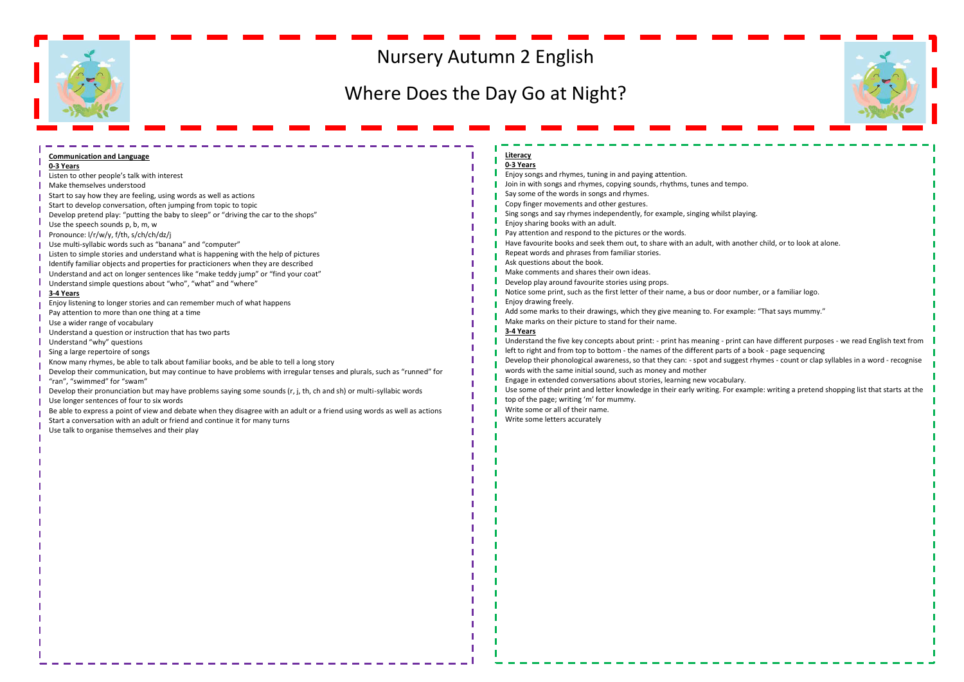## Nursery Autumn 2 English

## Where Does the Day Go at Night?



| <b>Communication and Language</b>                                                                                         | Literacy                                                                                                                             |  |
|---------------------------------------------------------------------------------------------------------------------------|--------------------------------------------------------------------------------------------------------------------------------------|--|
| 0-3 Years                                                                                                                 | 0-3 Years                                                                                                                            |  |
| Listen to other people's talk with interest                                                                               | Enjoy songs and rhymes, tuning in and paying attention.                                                                              |  |
| Make themselves understood                                                                                                | Join in with songs and rhymes, copying sounds, rhythms, tunes and tempo.                                                             |  |
| Start to say how they are feeling, using words as well as actions                                                         | Say some of the words in songs and rhymes.                                                                                           |  |
|                                                                                                                           | Copy finger movements and other gestures.                                                                                            |  |
| Start to develop conversation, often jumping from topic to topic                                                          | Sing songs and say rhymes independently, for example, singing whilst playing.                                                        |  |
| Develop pretend play: "putting the baby to sleep" or "driving the car to the shops"                                       | Enjoy sharing books with an adult.                                                                                                   |  |
| Use the speech sounds p, b, m, w                                                                                          | Pay attention and respond to the pictures or the words.                                                                              |  |
| Pronounce: I/r/w/y, f/th, s/ch/ch/dz/j                                                                                    | Have favourite books and seek them out, to share with an adult, with another child, or to look at alone.                             |  |
| Use multi-syllabic words such as "banana" and "computer"                                                                  | Repeat words and phrases from familiar stories.                                                                                      |  |
| Listen to simple stories and understand what is happening with the help of pictures                                       | Ask questions about the book.                                                                                                        |  |
| Identify familiar objects and properties for practicioners when they are described                                        | Make comments and shares their own ideas.                                                                                            |  |
| Understand and act on longer sentences like "make teddy jump" or "find your coat"                                         | Develop play around favourite stories using props.                                                                                   |  |
| Understand simple questions about "who", "what" and "where"                                                               | Notice some print, such as the first letter of their name, a bus or door number, or a familiar logo.                                 |  |
| 3-4 Years                                                                                                                 |                                                                                                                                      |  |
| Enjoy listening to longer stories and can remember much of what happens                                                   | Enjoy drawing freely.                                                                                                                |  |
| Pay attention to more than one thing at a time                                                                            | Add some marks to their drawings, which they give meaning to. For example: "That says mummy."                                        |  |
| Use a wider range of vocabulary                                                                                           | Make marks on their picture to stand for their name.                                                                                 |  |
| Understand a question or instruction that has two parts                                                                   | 3-4 Years                                                                                                                            |  |
| Understand "why" questions                                                                                                | Understand the five key concepts about print: - print has meaning - print can have different purposes - we read English text from    |  |
| Sing a large repertoire of songs                                                                                          | left to right and from top to bottom - the names of the different parts of a book - page sequencing                                  |  |
| Know many rhymes, be able to talk about familiar books, and be able to tell a long story                                  | Develop their phonological awareness, so that they can: - spot and suggest rhymes - count or clap syllables in a word - recognise    |  |
| Develop their communication, but may continue to have problems with irregular tenses and plurals, such as "runned" for    | words with the same initial sound, such as money and mother                                                                          |  |
| "ran", "swimmed" for "swam"                                                                                               | Engage in extended conversations about stories, learning new vocabulary.                                                             |  |
| Develop their pronunciation but may have problems saying some sounds (r, j, th, ch and sh) or multi-syllabic words        | Use some of their print and letter knowledge in their early writing. For example: writing a pretend shopping list that starts at the |  |
| Use longer sentences of four to six words                                                                                 | top of the page; writing 'm' for mummy.                                                                                              |  |
| Be able to express a point of view and debate when they disagree with an adult or a friend using words as well as actions | Write some or all of their name.                                                                                                     |  |
| Start a conversation with an adult or friend and continue it for many turns                                               | Write some letters accurately                                                                                                        |  |
| Use talk to organise themselves and their play                                                                            |                                                                                                                                      |  |
|                                                                                                                           |                                                                                                                                      |  |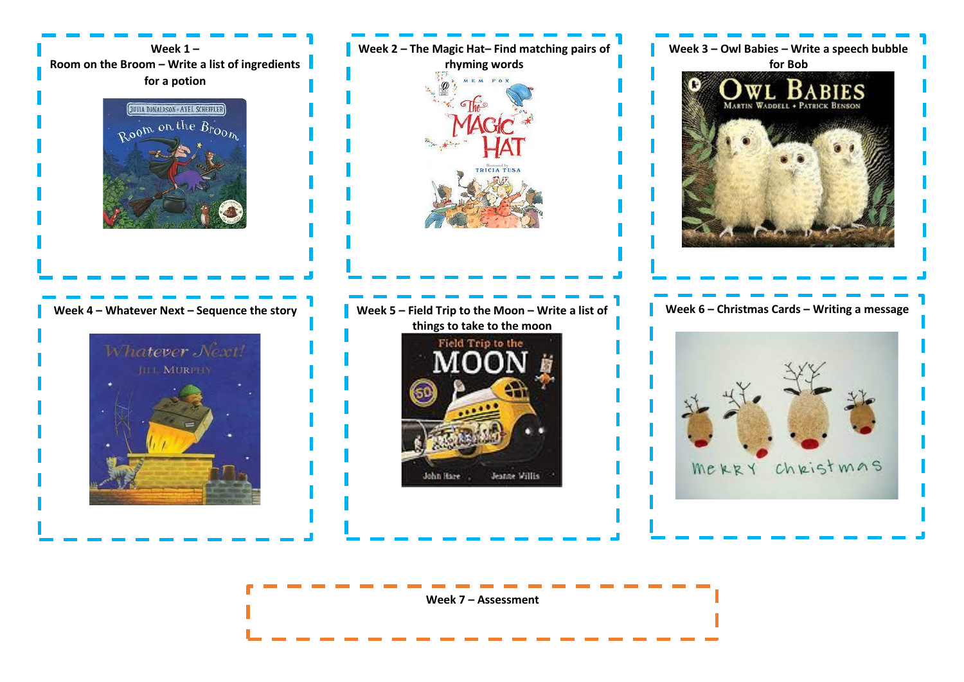

**Week 7 – Assessment**